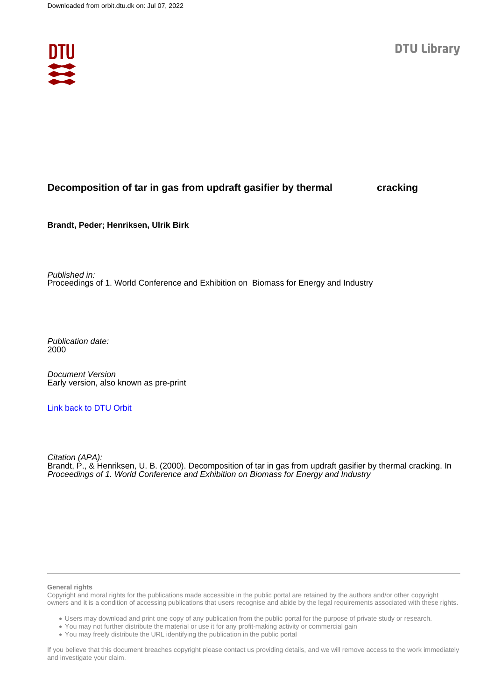

# **Decomposition of tar in gas from updraft gasifier by thermal cracking**

**Brandt, Peder; Henriksen, Ulrik Birk**

Published in: Proceedings of 1. World Conference and Exhibition on Biomass for Energy and Industry

Publication date: 2000

Document Version Early version, also known as pre-print

## [Link back to DTU Orbit](https://orbit.dtu.dk/en/publications/253829e7-c40b-4230-8f9b-eb9004432101)

Citation (APA): Brandt, P., & Henriksen, U. B. (2000). Decomposition of tar in gas from updraft gasifier by thermal cracking. In Proceedings of 1. World Conference and Exhibition on Biomass for Energy and Industry

#### **General rights**

Copyright and moral rights for the publications made accessible in the public portal are retained by the authors and/or other copyright owners and it is a condition of accessing publications that users recognise and abide by the legal requirements associated with these rights.

Users may download and print one copy of any publication from the public portal for the purpose of private study or research.

- You may not further distribute the material or use it for any profit-making activity or commercial gain
- You may freely distribute the URL identifying the publication in the public portal

If you believe that this document breaches copyright please contact us providing details, and we will remove access to the work immediately and investigate your claim.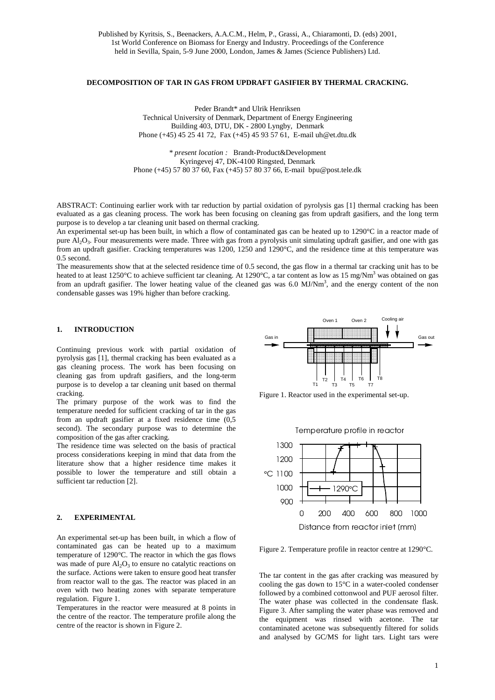## **DECOMPOSITION OF TAR IN GAS FROM UPDRAFT GASIFIER BY THERMAL CRACKING.**

Peder Brandt\* and Ulrik Henriksen Technical University of Denmark, Department of Energy Engineering Building 403, DTU, DK - 2800 Lyngby, Denmark Phone (+45) 45 25 41 72, Fax (+45) 45 93 57 61, E-mail uh@et.dtu.dk

*\* present location :*Brandt-Product&Development Kyringevej 47, DK-4100 Ringsted, Denmark Phone (+45) 57 80 37 60, Fax (+45) 57 80 37 66, E-mail bpu@post.tele.dk

ABSTRACT: Continuing earlier work with tar reduction by partial oxidation of pyrolysis gas [1] thermal cracking has been evaluated as a gas cleaning process. The work has been focusing on cleaning gas from updraft gasifiers, and the long term purpose is to develop a tar cleaning unit based on thermal cracking.

An experimental set-up has been built, in which a flow of contaminated gas can be heated up to 1290°C in a reactor made of pure Al<sub>2</sub>O<sub>3</sub>. Four measurements were made. Three with gas from a pyrolysis unit simulating updraft gasifier, and one with gas from an updraft gasifier. Cracking temperatures was 1200, 1250 and 1290°C, and the residence time at this temperature was 0.5 second.

The measurements show that at the selected residence time of 0.5 second, the gas flow in a thermal tar cracking unit has to be heated to at least 1250°C to achieve sufficient tar cleaning. At 1290°C, a tar content as low as 15 mg/Nm<sup>3</sup> was obtained on gas from an updraft gasifier. The lower heating value of the cleaned gas was 6.0 MJ/Nm<sup>3</sup>, and the energy content of the non condensable gasses was 19% higher than before cracking.

#### **1. INTRODUCTION**

Continuing previous work with partial oxidation of pyrolysis gas [1], thermal cracking has been evaluated as a gas cleaning process. The work has been focusing on cleaning gas from updraft gasifiers, and the long-term purpose is to develop a tar cleaning unit based on thermal cracking.

The primary purpose of the work was to find the temperature needed for sufficient cracking of tar in the gas from an updraft gasifier at a fixed residence time (0,5 second). The secondary purpose was to determine the composition of the gas after cracking.

The residence time was selected on the basis of practical process considerations keeping in mind that data from the literature show that a higher residence time makes it possible to lower the temperature and still obtain a sufficient tar reduction [2].

### **2. EXPERIMENTAL**

An experimental set-up has been built, in which a flow of contaminated gas can be heated up to a maximum temperature of 1290°C. The reactor in which the gas flows was made of pure  $Al<sub>2</sub>O<sub>3</sub>$  to ensure no catalytic reactions on the surface. Actions were taken to ensure good heat transfer from reactor wall to the gas. The reactor was placed in an oven with two heating zones with separate temperature regulation. Figure 1.

Temperatures in the reactor were measured at 8 points in the centre of the reactor. The temperature profile along the centre of the reactor is shown in Figure 2.



Figure 1. Reactor used in the experimental set-up.



- 

Figure 2. Temperature profile in reactor centre at 1290°C.

The tar content in the gas after cracking was measured by cooling the gas down to 15°C in a water-cooled condenser followed by a combined cottonwool and PUF aerosol filter. The water phase was collected in the condensate flask. Figure 3. After sampling the water phase was removed and the equipment was rinsed with acetone. The tar contaminated acetone was subsequently filtered for solids and analysed by GC/MS for light tars. Light tars were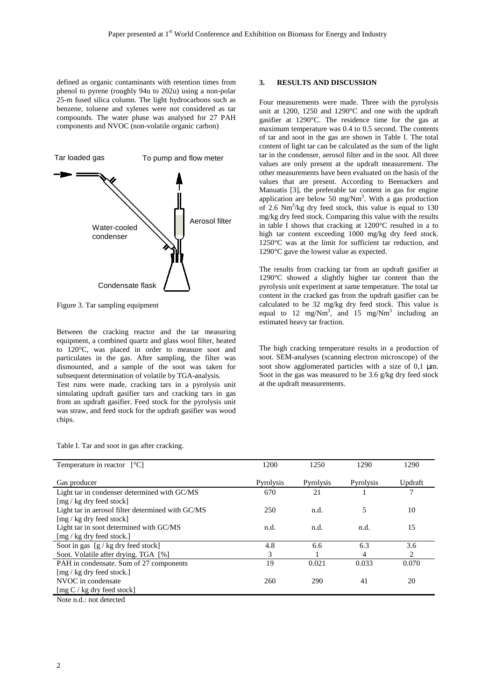defined as organic contaminants with retention times from phenol to pyrene (roughly 94u to 202u) using a non-polar 25-m fused silica column. The light hydrocarbons such as benzene, toluene and xylenes were not considered as tar compounds. The water phase was analysed for 27 PAH components and NVOC (non-volatile organic carbon)



Figure 3. Tar sampling equipment

Between the cracking reactor and the tar measuring equipment, a combined quartz and glass wool filter, heated to 120°C, was placed in order to measure soot and particulates in the gas. After sampling, the filter was dismounted, and a sample of the soot was taken for subsequent determination of volatile by TGA-analysis.

Test runs were made, cracking tars in a pyrolysis unit simulating updraft gasifier tars and cracking tars in gas from an updraft gasifier. Feed stock for the pyrolysis unit was straw, and feed stock for the updraft gasifier was wood chips.

**3. RESULTS AND DISCUSSION**

Four measurements were made. Three with the pyrolysis unit at 1200, 1250 and 1290°C and one with the updraft gasifier at 1290°C. The residence time for the gas at maximum temperature was 0.4 to 0.5 second. The contents of tar and soot in the gas are shown in Table I. The total content of light tar can be calculated as the sum of the light tar in the condenser, aerosol filter and in the soot. All three values are only present at the updraft measurement. The other measurements have been evaluated on the basis of the values that are present. According to Beenackers and Manuatis [3], the preferable tar content in gas for engine application are below 50 mg/Nm<sup>3</sup>. With a gas production of 2.6  $Nm^3/kg$  dry feed stock, this value is equal to 130 mg/kg dry feed stock. Comparing this value with the results in table I shows that cracking at 1200°C resulted in a to high tar content exceeding 1000 mg/kg dry feed stock. 1250°C was at the limit for sufficient tar reduction, and 1290°C gave the lowest value as expected.

The results from cracking tar from an updraft gasifier at 1290°C showed a slightly higher tar content than the pyrolysis unit experiment at same temperature. The total tar content in the cracked gas from the updraft gasifier can be calculated to be 32 mg/kg dry feed stock. This value is equal to 12 mg/Nm<sup>3</sup>, and 15 mg/Nm<sup>3</sup> including an estimated heavy tar fraction.

The high cracking temperature results in a production of soot. SEM-analyses (scanning electron microscope) of the soot show agglomerated particles with a size of  $0,1 \mu m$ . Soot in the gas was measured to be 3.6 g/kg dry feed stock at the updraft measurements.

|  |  | Table I. Tar and soot in gas after cracking. |
|--|--|----------------------------------------------|
|  |  |                                              |

| Temperature in reactor $\lceil \degree C \rceil$            | 1200      | 1250      | 1290      | 1290    |
|-------------------------------------------------------------|-----------|-----------|-----------|---------|
|                                                             |           |           |           |         |
| Gas producer                                                | Pyrolysis | Pyrolysis | Pyrolysis | Updraft |
| Light tar in condenser determined with GC/MS                | 670       | 21        |           | 7       |
| $\lceil \text{mg} / \text{kg} \rceil$ dry feed stock        |           |           |           |         |
| Light tar in aerosol filter determined with GC/MS           | 250       | n.d.      | 5         | 10      |
| $\lceil \text{mg} / \text{kg} \rceil$ dry feed stock        |           |           |           |         |
| Light tar in soot determined with GC/MS                     | n.d.      | n.d.      | n.d.      | 15      |
| $\lceil \frac{mg}{kg} \rceil$ kg dry feed stock.            |           |           |           |         |
| Soot in gas $[g / kg$ dry feed stock]                       | 4.8       | 6.6       | 6.3       | 3.6     |
| Soot. Volatile after drying. TGA [%]                        | 3         |           | 4         | 2       |
| PAH in condensate. Sum of 27 components                     | 19        | 0.021     | 0.033     | 0.070   |
| $\lceil \text{mg} / \text{kg} \rceil$ dry feed stock.       |           |           |           |         |
| NVOC in condensate                                          | 260       | 290       | 41        | 20      |
| $\lceil \text{mg } C / \text{kg} \rceil$ feed stock         |           |           |           |         |
| $M_{\odot}$ and $A_{\odot}$ and $A_{\odot}$ and $A_{\odot}$ |           |           |           |         |

Note n.d.: not detected